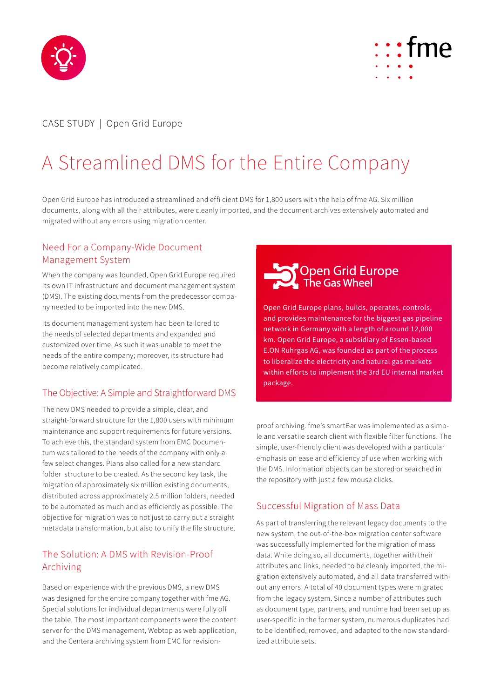



# CASE STUDY | Open Grid Europe

# A Streamlined DMS for the Entire Company

Open Grid Europe has introduced a streamlined and effi cient DMS for 1,800 users with the help of fme AG. Six million documents, along with all their attributes, were cleanly imported, and the document archives extensively automated and migrated without any errors using migration center.

#### Need For a Company-Wide Document Management System

When the company was founded, Open Grid Europe required its own IT infrastructure and document management system (DMS). The existing documents from the predecessor company needed to be imported into the new DMS.

Its document management system had been tailored to the needs of selected departments and expanded and customized over time. As such it was unable to meet the needs of the entire company; moreover, its structure had become relatively complicated.

## The Objective: A Simple and Straightforward DMS

The new DMS needed to provide a simple, clear, and straight-forward structure for the 1,800 users with minimum maintenance and support requirements for future versions. To achieve this, the standard system from EMC Documentum was tailored to the needs of the company with only a few select changes. Plans also called for a new standard folder structure to be created. As the second key task, the migration of approximately six million existing documents, distributed across approximately 2.5 million folders, needed to be automated as much and as efficiently as possible. The objective for migration was to not just to carry out a straight metadata transformation, but also to unify the file structure.

### The Solution: A DMS with Revision-Proof Archiving

Based on experience with the previous DMS, a new DMS was designed for the entire company together with fme AG. Special solutions for individual departments were fully off the table. The most important components were the content server for the DMS management, Webtop as web application, and the Centera archiving system from EMC for revision-



Open Grid Europe plans, builds, operates, controls, and provides maintenance for the biggest gas pipeline network in Germany with a length of around 12,000 km. Open Grid Europe, a subsidiary of Essen-based E.ON Ruhrgas AG, was founded as part of the process to liberalize the electricity and natural gas markets within efforts to implement the 3rd EU internal market package.

proof archiving. fme's smartBar was implemented as a simple and versatile search client with flexible filter functions. The simple, user-friendly client was developed with a particular emphasis on ease and efficiency of use when working with the DMS. Information objects can be stored or searched in the repository with just a few mouse clicks.

#### Successful Migration of Mass Data

As part of transferring the relevant legacy documents to the new system, the out-of-the-box migration center software was successfully implemented for the migration of mass data. While doing so, all documents, together with their attributes and links, needed to be cleanly imported, the migration extensively automated, and all data transferred without any errors. A total of 40 document types were migrated from the legacy system. Since a number of attributes such as document type, partners, and runtime had been set up as user-specific in the former system, numerous duplicates had to be identified, removed, and adapted to the now standardized attribute sets.